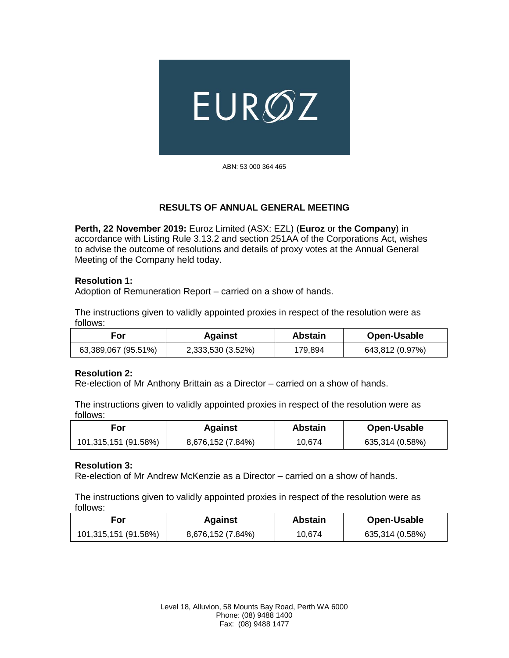

ABN: 53 000 364 465

## **RESULTS OF ANNUAL GENERAL MEETING**

**Perth, 22 November 2019:** Euroz Limited (ASX: EZL) (**Euroz** or **the Company**) in accordance with Listing Rule 3.13.2 and section 251AA of the Corporations Act, wishes to advise the outcome of resolutions and details of proxy votes at the Annual General Meeting of the Company held today.

#### **Resolution 1:**

Adoption of Remuneration Report – carried on a show of hands.

The instructions given to validly appointed proxies in respect of the resolution were as follows:

| For                 | <b>Against</b>    | <b>Abstain</b> | Open-Usable     |
|---------------------|-------------------|----------------|-----------------|
| 63,389,067 (95.51%) | 2,333,530 (3.52%) | 179.894        | 643,812 (0.97%) |

#### **Resolution 2:**

Re-election of Mr Anthony Brittain as a Director – carried on a show of hands.

The instructions given to validly appointed proxies in respect of the resolution were as follows:

| For                  | <b>Against</b>    | Abstain | Open-Usable     |
|----------------------|-------------------|---------|-----------------|
| 101,315,151 (91.58%) | 8,676,152 (7.84%) | 10.674  | 635,314 (0.58%) |

#### **Resolution 3:**

Re-election of Mr Andrew McKenzie as a Director – carried on a show of hands.

| For                  | <b>Against</b>    | <b>Abstain</b> | Open-Usable     |
|----------------------|-------------------|----------------|-----------------|
| 101,315,151 (91.58%) | 8,676,152 (7.84%) | 10.674         | 635,314 (0.58%) |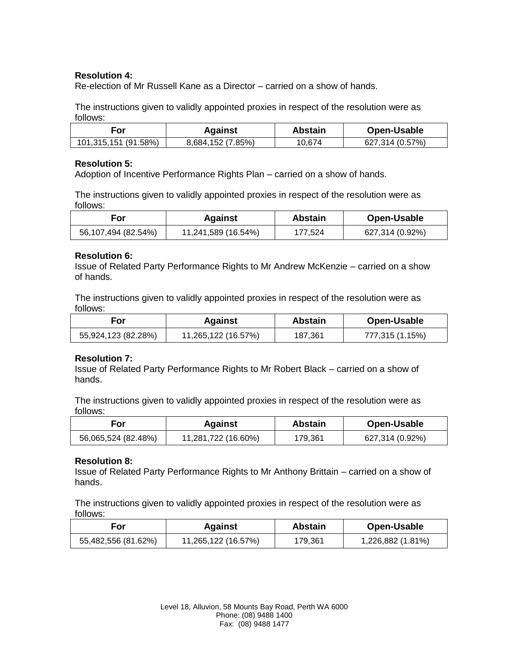## **Resolution 4:**

Re-election of Mr Russell Kane as a Director – carried on a show of hands.

The instructions given to validly appointed proxies in respect of the resolution were as follows:

| ، or                 | Against           | Abstain | Open-Usable     |
|----------------------|-------------------|---------|-----------------|
| 101,315,151 (91.58%) | 8,684,152 (7.85%) | 10.674  | 627,314 (0.57%) |

### **Resolution 5:**

Adoption of Incentive Performance Rights Plan – carried on a show of hands.

The instructions given to validly appointed proxies in respect of the resolution were as follows:

| For                 | <b>Against</b>      | <b>Abstain</b> | Open-Usable     |
|---------------------|---------------------|----------------|-----------------|
| 56,107,494 (82.54%) | 11,241,589 (16.54%) | 177.524        | 627,314 (0.92%) |

## **Resolution 6:**

Issue of Related Party Performance Rights to Mr Andrew McKenzie – carried on a show of hands.

The instructions given to validly appointed proxies in respect of the resolution were as follows:

| For                 | <b>Against</b>      | <b>Abstain</b> | Open-Usable     |
|---------------------|---------------------|----------------|-----------------|
| 55,924,123 (82.28%) | 11,265,122 (16.57%) | 187.361        | 777,315 (1.15%) |

## **Resolution 7:**

Issue of Related Party Performance Rights to Mr Robert Black – carried on a show of hands.

The instructions given to validly appointed proxies in respect of the resolution were as follows:

| For                 | Against             | <b>Abstain</b> | Open-Usable     |
|---------------------|---------------------|----------------|-----------------|
| 56,065,524 (82.48%) | 11,281,722 (16.60%) | 179,361        | 627,314 (0.92%) |

## **Resolution 8:**

Issue of Related Party Performance Rights to Mr Anthony Brittain – carried on a show of hands.

| For                 | <b>Against</b>      | Abstain | Open-Usable       |
|---------------------|---------------------|---------|-------------------|
| 55,482,556 (81.62%) | 11,265,122 (16.57%) | 179.361 | 1,226,882 (1.81%) |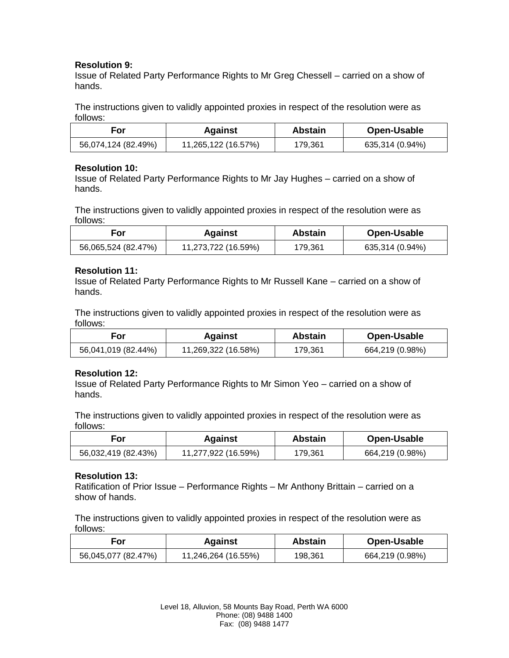## **Resolution 9:**

Issue of Related Party Performance Rights to Mr Greg Chessell – carried on a show of hands.

The instructions given to validly appointed proxies in respect of the resolution were as follows:

| For                 | <b>Against</b>      | <b>Abstain</b> | Open-Usable     |
|---------------------|---------------------|----------------|-----------------|
| 56,074,124 (82.49%) | 11,265,122 (16.57%) | 179,361        | 635,314 (0.94%) |

### **Resolution 10:**

Issue of Related Party Performance Rights to Mr Jay Hughes – carried on a show of hands.

The instructions given to validly appointed proxies in respect of the resolution were as follows:

| For.                | Against             | <b>Abstain</b> | Open-Usable     |
|---------------------|---------------------|----------------|-----------------|
| 56,065,524 (82.47%) | 11,273,722 (16.59%) | 179,361        | 635,314 (0.94%) |

### **Resolution 11:**

Issue of Related Party Performance Rights to Mr Russell Kane – carried on a show of hands.

The instructions given to validly appointed proxies in respect of the resolution were as follows:

| For                 | <b>Against</b>      | Abstain | Open-Usable     |
|---------------------|---------------------|---------|-----------------|
| 56,041,019 (82.44%) | 11,269,322 (16.58%) | 179,361 | 664,219 (0.98%) |

## **Resolution 12:**

Issue of Related Party Performance Rights to Mr Simon Yeo – carried on a show of hands.

The instructions given to validly appointed proxies in respect of the resolution were as follows:

| For                 | <b>Against</b>      | <b>Abstain</b> | Open-Usable     |
|---------------------|---------------------|----------------|-----------------|
| 56,032,419 (82.43%) | 11,277,922 (16.59%) | 179.361        | 664,219 (0.98%) |

## **Resolution 13:**

Ratification of Prior Issue – Performance Rights – Mr Anthony Brittain – carried on a show of hands.

| For                 | <b>Against</b>      | <b>Abstain</b> | Open-Usable     |
|---------------------|---------------------|----------------|-----------------|
| 56,045,077 (82.47%) | 11,246,264 (16.55%) | 198.361        | 664,219 (0.98%) |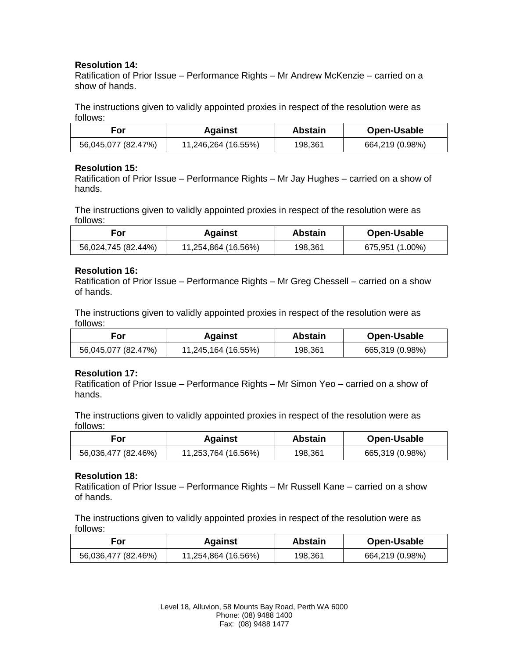# **Resolution 14:**

Ratification of Prior Issue – Performance Rights – Mr Andrew McKenzie – carried on a show of hands.

The instructions given to validly appointed proxies in respect of the resolution were as follows:

| For                 | <b>Against</b>      | <b>Abstain</b> | Open-Usable     |
|---------------------|---------------------|----------------|-----------------|
| 56,045,077 (82.47%) | 11,246,264 (16.55%) | 198.361        | 664,219 (0.98%) |

### **Resolution 15:**

Ratification of Prior Issue – Performance Rights – Mr Jay Hughes – carried on a show of hands.

The instructions given to validly appointed proxies in respect of the resolution were as follows:

| <b>For</b>          | Against             | Abstain | Open-Usable     |
|---------------------|---------------------|---------|-----------------|
| 56,024,745 (82.44%) | 11,254,864 (16.56%) | 198.361 | 675,951 (1.00%) |

### **Resolution 16:**

Ratification of Prior Issue – Performance Rights – Mr Greg Chessell – carried on a show of hands.

The instructions given to validly appointed proxies in respect of the resolution were as follows:

| For                 | Against             | <b>Abstain</b> | Open-Usable     |
|---------------------|---------------------|----------------|-----------------|
| 56,045,077 (82.47%) | 11,245,164 (16.55%) | 198.361        | 665,319 (0.98%) |

## **Resolution 17:**

Ratification of Prior Issue – Performance Rights – Mr Simon Yeo – carried on a show of hands.

The instructions given to validly appointed proxies in respect of the resolution were as follows:

| For                 | <b>Against</b>      | <b>Abstain</b> | Open-Usable     |
|---------------------|---------------------|----------------|-----------------|
| 56,036,477 (82.46%) | 11,253,764 (16.56%) | 198.361        | 665,319 (0.98%) |

#### **Resolution 18:**

Ratification of Prior Issue – Performance Rights – Mr Russell Kane – carried on a show of hands.

| For                 | <b>Against</b>      | Abstain | Open-Usable     |
|---------------------|---------------------|---------|-----------------|
| 56,036,477 (82.46%) | 11,254,864 (16.56%) | 198.361 | 664,219 (0.98%) |